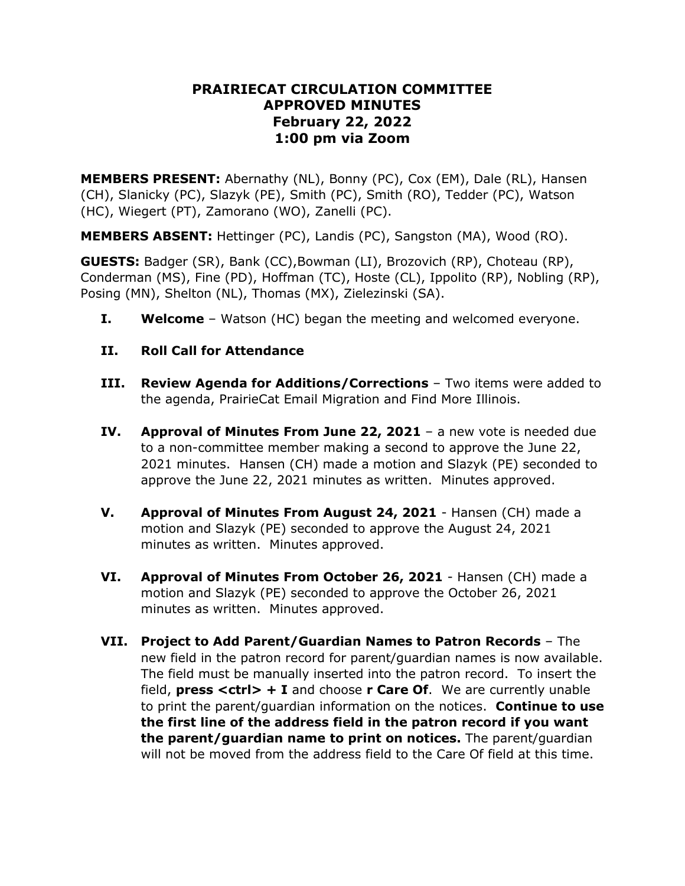# **PRAIRIECAT CIRCULATION COMMITTEE APPROVED MINUTES February 22, 2022 1:00 pm via Zoom**

**MEMBERS PRESENT:** Abernathy (NL), Bonny (PC), Cox (EM), Dale (RL), Hansen (CH), Slanicky (PC), Slazyk (PE), Smith (PC), Smith (RO), Tedder (PC), Watson (HC), Wiegert (PT), Zamorano (WO), Zanelli (PC).

**MEMBERS ABSENT:** Hettinger (PC), Landis (PC), Sangston (MA), Wood (RO).

**GUESTS:** Badger (SR), Bank (CC),Bowman (LI), Brozovich (RP), Choteau (RP), Conderman (MS), Fine (PD), Hoffman (TC), Hoste (CL), Ippolito (RP), Nobling (RP), Posing (MN), Shelton (NL), Thomas (MX), Zielezinski (SA).

**I. Welcome** – Watson (HC) began the meeting and welcomed everyone.

# **II. Roll Call for Attendance**

- **III. Review Agenda for Additions/Corrections** Two items were added to the agenda, PrairieCat Email Migration and Find More Illinois.
- **IV. Approval of Minutes From June 22, 2021** a new vote is needed due to a non-committee member making a second to approve the June 22, 2021 minutes. Hansen (CH) made a motion and Slazyk (PE) seconded to approve the June 22, 2021 minutes as written. Minutes approved.
- **V. Approval of Minutes From August 24, 2021** Hansen (CH) made a motion and Slazyk (PE) seconded to approve the August 24, 2021 minutes as written. Minutes approved.
- **VI. Approval of Minutes From October 26, 2021** Hansen (CH) made a motion and Slazyk (PE) seconded to approve the October 26, 2021 minutes as written. Minutes approved.
- **VII. Project to Add Parent/Guardian Names to Patron Records** The new field in the patron record for parent/guardian names is now available. The field must be manually inserted into the patron record. To insert the field, **press <ctrl> + I** and choose **r Care Of**. We are currently unable to print the parent/guardian information on the notices. **Continue to use the first line of the address field in the patron record if you want the parent/guardian name to print on notices.** The parent/guardian will not be moved from the address field to the Care Of field at this time.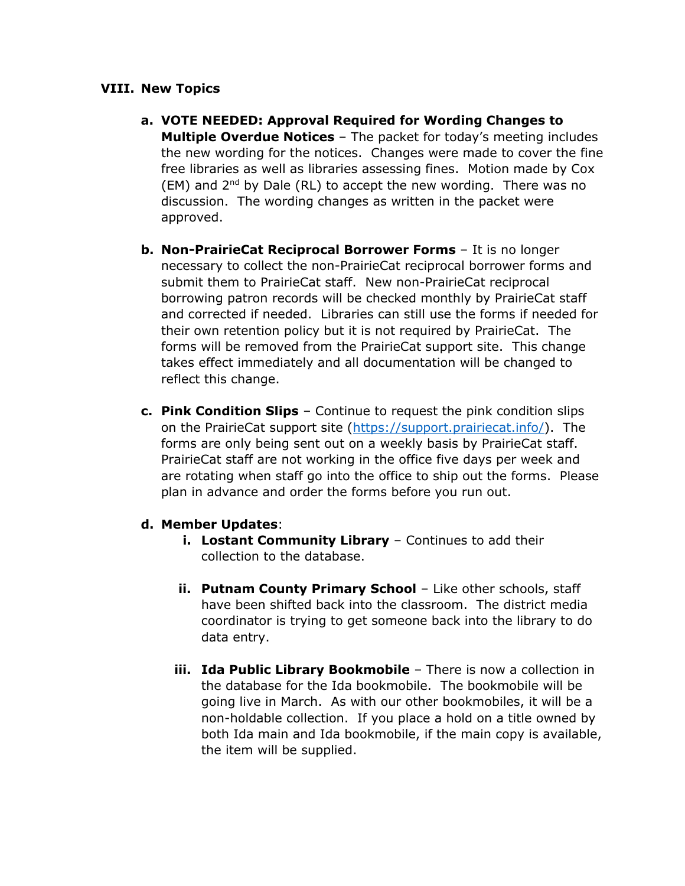#### **VIII. New Topics**

- **a. VOTE NEEDED: Approval Required for Wording Changes to Multiple Overdue Notices** – The packet for today's meeting includes the new wording for the notices. Changes were made to cover the fine free libraries as well as libraries assessing fines. Motion made by Cox  $(EM)$  and  $2<sup>nd</sup>$  by Dale (RL) to accept the new wording. There was no discussion. The wording changes as written in the packet were approved.
- **b. Non-PrairieCat Reciprocal Borrower Forms** It is no longer necessary to collect the non-PrairieCat reciprocal borrower forms and submit them to PrairieCat staff. New non-PrairieCat reciprocal borrowing patron records will be checked monthly by PrairieCat staff and corrected if needed. Libraries can still use the forms if needed for their own retention policy but it is not required by PrairieCat. The forms will be removed from the PrairieCat support site. This change takes effect immediately and all documentation will be changed to reflect this change.
- **c. Pink Condition Slips** Continue to request the pink condition slips on the PrairieCat support site [\(https://support.prairiecat.info/\)](https://support.prairiecat.info/). The forms are only being sent out on a weekly basis by PrairieCat staff. PrairieCat staff are not working in the office five days per week and are rotating when staff go into the office to ship out the forms. Please plan in advance and order the forms before you run out.

### **d. Member Updates**:

- **i. Lostant Community Library** Continues to add their collection to the database.
- **ii. Putnam County Primary School** Like other schools, staff have been shifted back into the classroom. The district media coordinator is trying to get someone back into the library to do data entry.
- **iii. Ida Public Library Bookmobile** There is now a collection in the database for the Ida bookmobile. The bookmobile will be going live in March. As with our other bookmobiles, it will be a non-holdable collection. If you place a hold on a title owned by both Ida main and Ida bookmobile, if the main copy is available, the item will be supplied.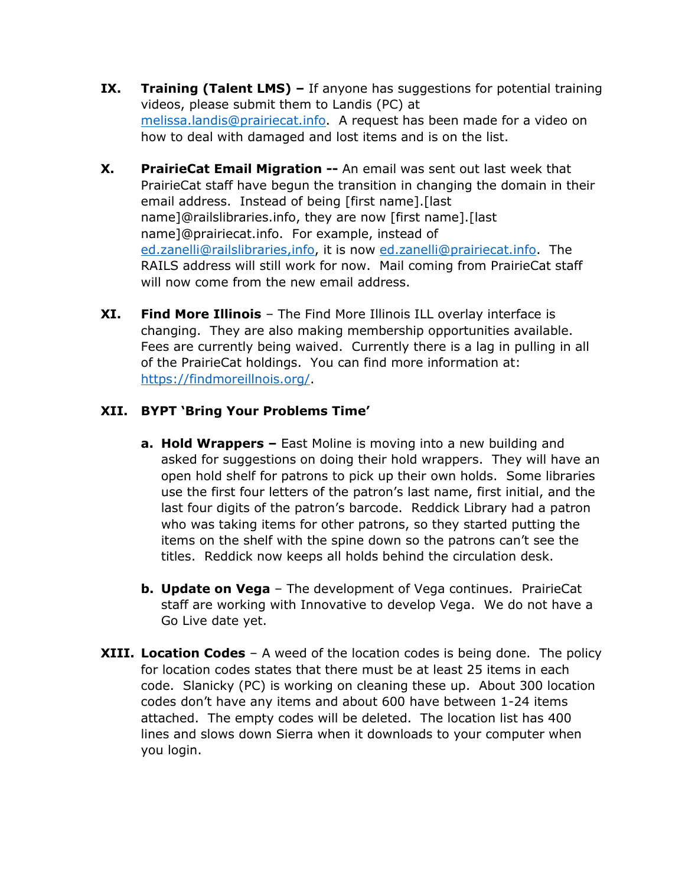- **IX. Training (Talent LMS)** If anyone has suggestions for potential training videos, please submit them to Landis (PC) at [melissa.landis@prairiecat.info.](mailto:melissa.landis@prairiecat.info) A request has been made for a video on how to deal with damaged and lost items and is on the list.
- **X. PrairieCat Email Migration --** An email was sent out last week that PrairieCat staff have begun the transition in changing the domain in their email address. Instead of being [first name].[last name]@railslibraries.info, they are now [first name].[last name]@prairiecat.info. For example, instead of [ed.zanelli@railslibraries,](mailto:ed.zanelli@railslibraries)info, it is now [ed.zanelli@prairiecat.info.](mailto:ed.zanelli@prairiecat.info) The RAILS address will still work for now. Mail coming from PrairieCat staff will now come from the new email address.
- **XI. Find More Illinois** The Find More Illinois ILL overlay interface is changing. They are also making membership opportunities available. Fees are currently being waived. Currently there is a lag in pulling in all of the PrairieCat holdings. You can find more information at: [https://findmoreillnois.org/.](https://findmoreillnois.org/)

# **XII. BYPT 'Bring Your Problems Time'**

- **a. Hold Wrappers –** East Moline is moving into a new building and asked for suggestions on doing their hold wrappers. They will have an open hold shelf for patrons to pick up their own holds. Some libraries use the first four letters of the patron's last name, first initial, and the last four digits of the patron's barcode. Reddick Library had a patron who was taking items for other patrons, so they started putting the items on the shelf with the spine down so the patrons can't see the titles. Reddick now keeps all holds behind the circulation desk.
- **b. Update on Vega**  The development of Vega continues. PrairieCat staff are working with Innovative to develop Vega. We do not have a Go Live date yet.
- **XIII. Location Codes** A weed of the location codes is being done. The policy for location codes states that there must be at least 25 items in each code. Slanicky (PC) is working on cleaning these up. About 300 location codes don't have any items and about 600 have between 1-24 items attached. The empty codes will be deleted. The location list has 400 lines and slows down Sierra when it downloads to your computer when you login.